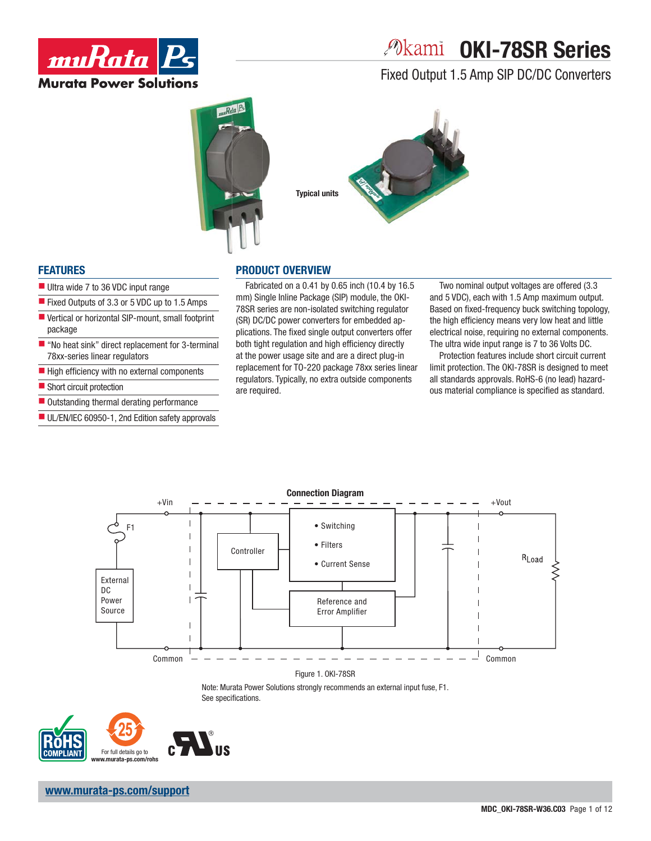

# *P***kami OKI-78SR Series**

Fixed Output 1.5 Amp SIP DC/DC Converters





### **FEATURES**

- Ultra wide 7 to 36 VDC input range
- Fixed Outputs of 3.3 or 5 VDC up to 1.5 Amps
- Vertical or horizontal SIP-mount, small footprint package
- $\blacksquare$  "No heat sink" direct replacement for 3-terminal 78xx-series linear regulators
- $\blacksquare$  High efficiency with no external components
- Short circuit protection
- Outstanding thermal derating performance
- UL/EN/IEC 60950-1, 2nd Edition safety approvals

### **PRODUCT OVERVIEW**

Fabricated on a 0.41 by 0.65 inch (10.4 by 16.5 mm) Single Inline Package (SIP) module, the OKI-78SR series are non-isolated switching regulator (SR) DC/DC power converters for embedded applications. The fixed single output converters offer both tight regulation and high efficiency directly at the power usage site and are a direct plug-in replacement for TO-220 package 78xx series linear regulators. Typically, no extra outside components are required.

Two nominal output voltages are offered (3.3 and 5 VDC), each with 1.5 Amp maximum output. Based on fixed-frequency buck switching topology, the high efficiency means very low heat and little electrical noise, requiring no external components. The ultra wide input range is 7 to 36 Volts DC.

Protection features include short circuit current limit protection. The OKI-78SR is designed to meet all standards approvals. RoHS-6 (no lead) hazardous material compliance is specified as standard.



Figure 1. OKI-78SR

Note: Murata Power Solutions strongly recommends an external input fuse, F1. See specifications.

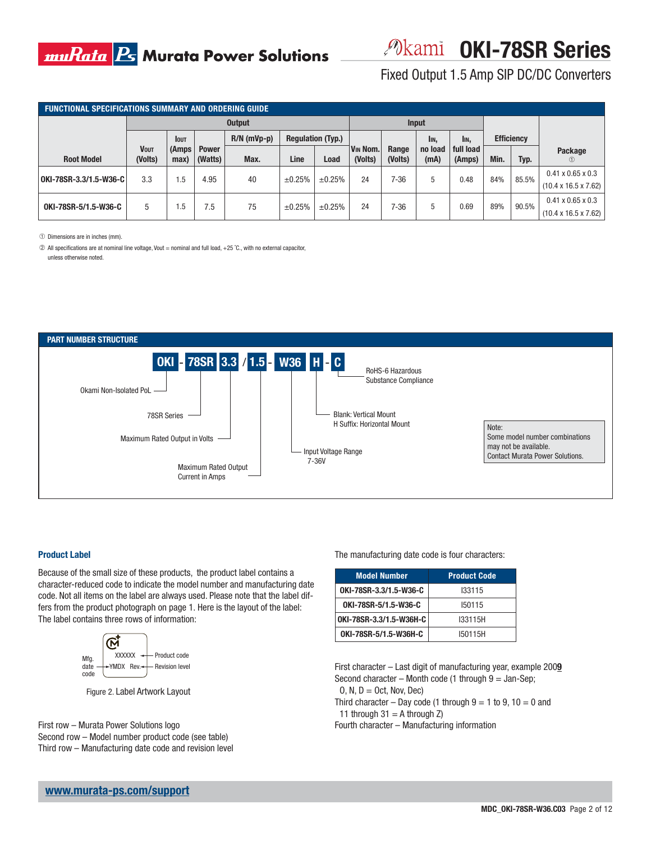Fixed Output 1.5 Amp SIP DC/DC Converters

| <b>FUNCTIONAL SPECIFICATIONS SUMMARY AND ORDERING GUIDE</b> |                        |               |                         |               |                          |        |                     |                  |                 |                     |      |                   |                                                                   |
|-------------------------------------------------------------|------------------------|---------------|-------------------------|---------------|--------------------------|--------|---------------------|------------------|-----------------|---------------------|------|-------------------|-------------------------------------------------------------------|
|                                                             | <b>Output</b>          |               |                         |               |                          | Input  |                     |                  |                 |                     |      |                   |                                                                   |
|                                                             |                        | <b>IOUT</b>   |                         | $R/N$ (mVp-p) | <b>Regulation (Typ.)</b> |        |                     |                  | I <sub>IN</sub> | IIN,                |      | <b>Efficiency</b> |                                                                   |
| <b>Root Model</b>                                           | <b>VOUT</b><br>(Volts) | (Amps<br>max) | <b>Power</b><br>(Watts) | Max.          | Line                     | Load   | VIN Nom.<br>(Volts) | Range<br>(Volts) | no load<br>(mA) | full load<br>(Amps) | Min. | Typ.              | Package<br>(1)                                                    |
| OKI-78SR-3.3/1.5-W36-C                                      | 3.3                    | 1.5           | 4.95                    | 40            | ±0.25%                   | ±0.25% | 24                  | 7-36             | 5               | 0.48                | 84%  | 85.5%             | $0.41 \times 0.65 \times 0.3$<br>$(10.4 \times 16.5 \times 7.62)$ |
| OKI-78SR-5/1.5-W36-C                                        | 5                      | .5            | '.5                     | 75            | ±0.25%                   | ±0.25% | 24                  | 7-36             | 5               | 0.69                | 89%  | 90.5%             | $0.41 \times 0.65 \times 0.3$<br>$(10.4 \times 16.5 \times 7.62)$ |

➀ Dimensions are in inches (mm).

➁ All specifications are at nominal line voltage, Vout = nominal and full load, +25 ˚C., with no external capacitor, unless otherwise noted.



#### **Product Label**

Because of the small size of these products, the product label contains a character-reduced code to indicate the model number and manufacturing date code. Not all items on the label are always used. Please note that the label differs from the product photograph on page 1. Here is the layout of the label: The label contains three rows of information:



Figure 2. Label Artwork Layout

First row – Murata Power Solutions logo Second row – Model number product code (see table) Third row – Manufacturing date code and revision level The manufacturing date code is four characters:

| <b>Model Number</b>     | <b>Product Code</b> |
|-------------------------|---------------------|
| OKI-78SR-3.3/1.5-W36-C  | 133115              |
| OKI-78SR-5/1.5-W36-C    | 150115              |
| OKI-78SR-3.3/1.5-W36H-C | I33115H             |
| OKI-78SR-5/1.5-W36H-C   | I50115H             |

First character – Last digit of manufacturing year, example 200**9** Second character – Month code (1 through  $9 =$  Jan-Sep;  $O, N, D = Oct, Nov, Dec)$ 

Third character – Day code (1 through  $9 = 1$  to  $9$ ,  $10 = 0$  and 11 through  $31 = A$  through  $Z$ )

Fourth character – Manufacturing information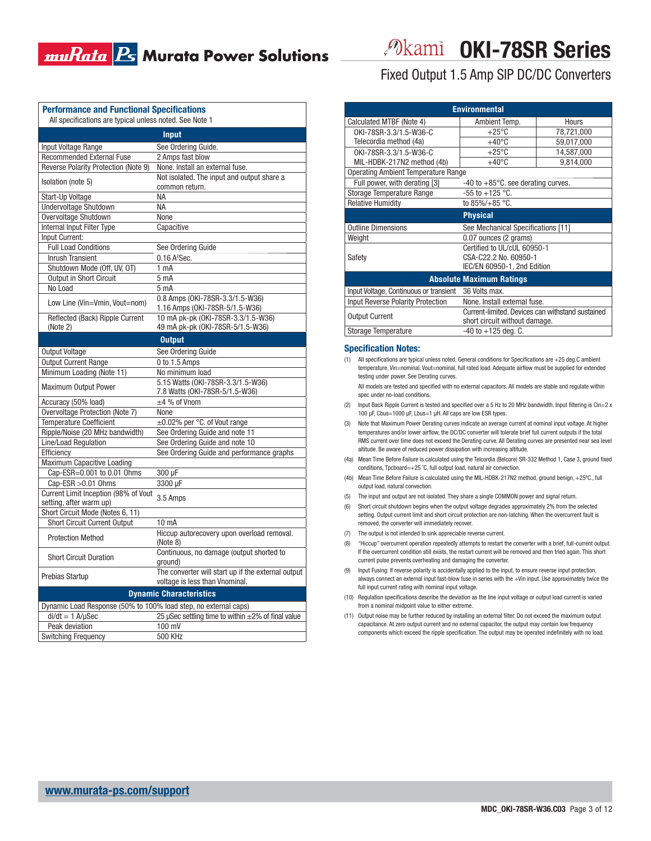| <b>Performance and Functional Specifications</b><br>All specifications are typical unless noted. See Note 1 |                                                                                      |  |  |  |  |  |  |
|-------------------------------------------------------------------------------------------------------------|--------------------------------------------------------------------------------------|--|--|--|--|--|--|
| Input                                                                                                       |                                                                                      |  |  |  |  |  |  |
| Input Voltage Range                                                                                         | See Ordering Guide.                                                                  |  |  |  |  |  |  |
| <b>Recommended External Fuse</b>                                                                            | 2 Amps fast blow                                                                     |  |  |  |  |  |  |
| Reverse Polarity Protection (Note 9)                                                                        | None. Install an external fuse.                                                      |  |  |  |  |  |  |
| Isolation (note 5)                                                                                          | Not isolated. The input and output share a<br>common return.                         |  |  |  |  |  |  |
| Start-Up Voltage                                                                                            | <b>NA</b>                                                                            |  |  |  |  |  |  |
| Undervoltage Shutdown                                                                                       | NА                                                                                   |  |  |  |  |  |  |
| Overvoltage Shutdown                                                                                        | None                                                                                 |  |  |  |  |  |  |
| Internal Input Filter Type                                                                                  | Capacitive                                                                           |  |  |  |  |  |  |
| Input Current:                                                                                              |                                                                                      |  |  |  |  |  |  |
| <b>Full Load Conditions</b>                                                                                 | See Ordering Guide                                                                   |  |  |  |  |  |  |
| <b>Inrush Transient</b>                                                                                     | 0.16A <sup>2</sup> Sec.                                                              |  |  |  |  |  |  |
| Shutdown Mode (Off, UV, OT)                                                                                 | 1 <sub>mA</sub>                                                                      |  |  |  |  |  |  |
| Output in Short Circuit                                                                                     | 5 <sub>mA</sub>                                                                      |  |  |  |  |  |  |
| No Load                                                                                                     | 5 <sub>mA</sub>                                                                      |  |  |  |  |  |  |
|                                                                                                             | 0.8 Amps (OKI-78SR-3.3/1.5-W36)                                                      |  |  |  |  |  |  |
| Low Line (Vin=Vmin, Vout=nom)                                                                               | 1.16 Amps (OKI-78SR-5/1.5-W36)                                                       |  |  |  |  |  |  |
| Reflected (Back) Ripple Current<br>(Note 2)                                                                 | 10 mA pk-pk (OKI-78SR-3.3/1.5-W36)<br>49 mA pk-pk (OKI-78SR-5/1.5-W36)               |  |  |  |  |  |  |
|                                                                                                             | <b>Output</b>                                                                        |  |  |  |  |  |  |
| <b>Output Voltage</b>                                                                                       | See Ordering Guide                                                                   |  |  |  |  |  |  |
| <b>Output Current Range</b>                                                                                 | 0 to 1.5 Amps                                                                        |  |  |  |  |  |  |
| Minimum Loading (Note 11)                                                                                   | No minimum load                                                                      |  |  |  |  |  |  |
|                                                                                                             | 5.15 Watts (OKI-78SR-3.3/1.5-W36)                                                    |  |  |  |  |  |  |
| Maximum Output Power                                                                                        | 7.8 Watts (OKI-78SR-5/1.5-W36)                                                       |  |  |  |  |  |  |
| Accuracy (50% load)                                                                                         | $\pm$ 4 % of Vnom                                                                    |  |  |  |  |  |  |
| Overvoltage Protection (Note 7)                                                                             | None                                                                                 |  |  |  |  |  |  |
| <b>Temperature Coefficient</b>                                                                              | $\pm 0.02\%$ per °C. of Vout range                                                   |  |  |  |  |  |  |
| Ripple/Noise (20 MHz bandwidth)                                                                             | See Ordering Guide and note 11                                                       |  |  |  |  |  |  |
| Line/Load Regulation                                                                                        | See Ordering Guide and note 10                                                       |  |  |  |  |  |  |
| Efficiency                                                                                                  | See Ordering Guide and performance graphs                                            |  |  |  |  |  |  |
| Maximum Capacitive Loading                                                                                  |                                                                                      |  |  |  |  |  |  |
| Cap-ESR=0.001 to 0.01 Ohms                                                                                  | 300 µF                                                                               |  |  |  |  |  |  |
| $Cap-ESR > 0.01 Ohms$                                                                                       | 3300 µF                                                                              |  |  |  |  |  |  |
| Current Limit Inception (98% of Vout                                                                        | 3.5 Amps                                                                             |  |  |  |  |  |  |
| setting, after warm up)                                                                                     |                                                                                      |  |  |  |  |  |  |
| Short Circuit Mode (Notes 6, 11)                                                                            |                                                                                      |  |  |  |  |  |  |
| <b>Short Circuit Current Output</b>                                                                         | 10 mA<br>Hiccup autorecovery upon overload removal.                                  |  |  |  |  |  |  |
| <b>Protection Method</b>                                                                                    | (Note 8)                                                                             |  |  |  |  |  |  |
| <b>Short Circuit Duration</b>                                                                               | Continuous, no damage (output shorted to<br>ground)                                  |  |  |  |  |  |  |
| Prebias Startup                                                                                             | The converter will start up if the external output<br>voltage is less than Vnominal. |  |  |  |  |  |  |
| <b>Dynamic Characteristics</b>                                                                              |                                                                                      |  |  |  |  |  |  |
| Dynamic Load Response (50% to 100% load step, no external caps)                                             |                                                                                      |  |  |  |  |  |  |
| $di/dt = 1$ A/ $\mu$ Sec                                                                                    | 25 µSec settling time to within ±2% of final value                                   |  |  |  |  |  |  |
| Peak deviation                                                                                              | 100 mV                                                                               |  |  |  |  |  |  |
| <b>Switching Frequency</b>                                                                                  | <b>500 KHz</b>                                                                       |  |  |  |  |  |  |

*Pokami* OKI-78SR Series

Fixed Output 1.5 Amp SIP DC/DC Converters

| <b>Environmental</b>                                 |                                                                                   |            |  |  |  |  |  |
|------------------------------------------------------|-----------------------------------------------------------------------------------|------------|--|--|--|--|--|
| Calculated MTBF (Note 4)                             | Ambient Temp.                                                                     | Hours      |  |  |  |  |  |
| OKI-78SR-3.3/1.5-W36-C                               | $+25^{\circ}C$                                                                    | 78,721,000 |  |  |  |  |  |
| Telecordia method (4a)                               | $+40^{\circ}$ C                                                                   | 59,017,000 |  |  |  |  |  |
| OKI-78SR-3.3/1.5-W36-C                               | $+25^{\circ}$ C                                                                   | 14,587,000 |  |  |  |  |  |
| MIL-HDBK-217N2 method (4b)                           | $+40^{\circ}$ C<br>9,814,000                                                      |            |  |  |  |  |  |
| <b>Operating Ambient Temperature Range</b>           |                                                                                   |            |  |  |  |  |  |
| Full power, with derating [3]                        | $-40$ to $+85^{\circ}$ C. see derating curves.                                    |            |  |  |  |  |  |
| Storage Temperature Range                            | $-55$ to $+125$ °C.                                                               |            |  |  |  |  |  |
| <b>Relative Humidity</b>                             | to $85\%/+85$ °C.                                                                 |            |  |  |  |  |  |
|                                                      | <b>Physical</b>                                                                   |            |  |  |  |  |  |
| <b>Outline Dimensions</b>                            | See Mechanical Specifications [11]                                                |            |  |  |  |  |  |
| Weight                                               | 0.07 ounces (2 grams)                                                             |            |  |  |  |  |  |
|                                                      | Certified to UL/cUL 60950-1                                                       |            |  |  |  |  |  |
| Safety                                               | CSA-C22.2 No. 60950-1                                                             |            |  |  |  |  |  |
|                                                      | IEC/EN 60950-1, 2nd Edition                                                       |            |  |  |  |  |  |
| <b>Absolute Maximum Ratings</b>                      |                                                                                   |            |  |  |  |  |  |
| Input Voltage, Continuous or transient 36 Volts max. |                                                                                   |            |  |  |  |  |  |
| <b>Input Reverse Polarity Protection</b>             | None, Install external fuse.                                                      |            |  |  |  |  |  |
| <b>Output Current</b>                                | Current-limited. Devices can withstand sustained<br>short circuit without damage. |            |  |  |  |  |  |
| <b>Storage Temperature</b>                           | $-40$ to $+125$ deg. C.                                                           |            |  |  |  |  |  |

#### **Specification Notes:**

(1) All specifications are typical unless noted. General conditions for Specifications are  $+25$  deg.C ambient temperature, Vin=nominal, Vout=nominal, full rated load. Adequate airflow must be supplied for extended testing under power. See Derating curves.

All models are tested and specified with no external capacitors. All models are stable and regulate within spec under no-load conditions.

- (2) Input Back Ripple Current is tested and specified over a 5 Hz to 20 MHz bandwidth. Input filtering is  $C$ in=2 x 100 μF, Cbus=1000 μF, Lbus=1 μH. All caps are low ESR types.
- (3) Note that Maximum Power Derating curves indicate an average current at nominal input voltage. At higher temperatures and/or lower airflow, the DC/DC converter will tolerate brief full current outputs if the total RMS current over time does not exceed the Derating curve. All Derating curves are presented near sea level altitude. Be aware of reduced power dissipation with increasing altitude.
- (4a) Mean Time Before Failure is calculated using the Telcordia (Belcore) SR-332 Method 1, Case 3, ground fixed conditions, Tpcboard=+25 ˚C, full output load, natural air convection.
- (4b) Mean Time Before Failure is calculated using the MIL-HDBK-217N2 method, ground benign, +25ºC., full output load, natural convection.
- (5) The input and output are not isolated. They share a single COMMON power and signal return.
- (6) Short circuit shutdown begins when the output voltage degrades approximately 2% from the selected setting. Output current limit and short circuit protection are non-latching. When the overcurrent fault is removed, the converter will immediately recover.
- (7) The output is not intended to sink appreciable reverse current.
- (8) "Hiccup" overcurrent operation repeatedly attempts to restart the converter with a brief, full-current output. If the overcurrent condition still exists, the restart current will be removed and then tried again. This short current pulse prevents overheating and damaging the converter.
- (9) Input Fusing: If reverse polarity is accidentally applied to the input, to ensure reverse input protection, always connect an external input fast-blow fuse in series with the +Vin input. Use approximately twice the full input current rating with nominal input voltage.
- (10) Regulation specifications describe the deviation as the line input voltage or output load current is varied from a nominal midpoint value to either extreme.
- (11) Output noise may be further reduced by installing an external filter. Do not exceed the maximum output capacitance. At zero output current and no external capacitor, the output may contain low frequency components which exceed the ripple specification. The output may be operated indefinitely with no load.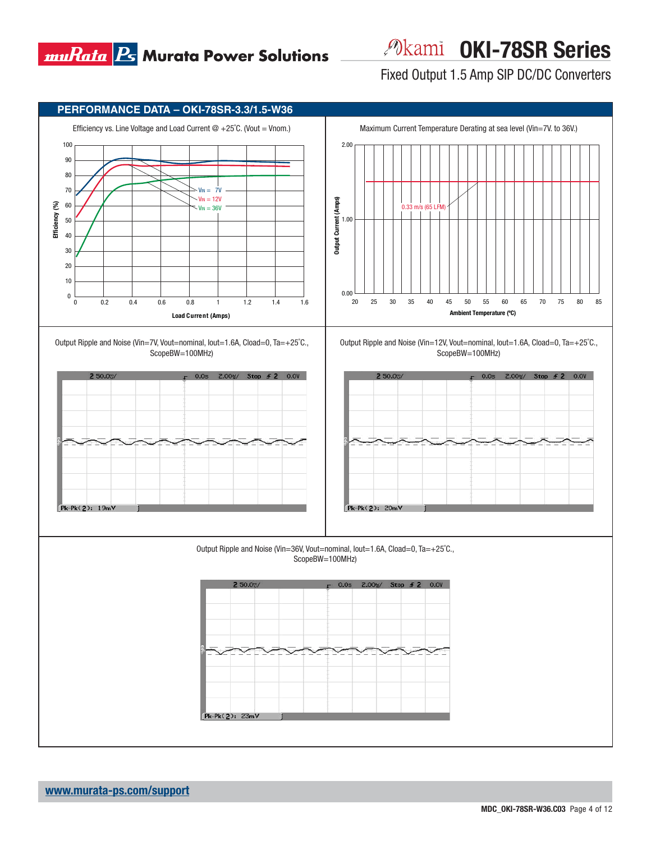

*Pokami* OKI-78SR Series

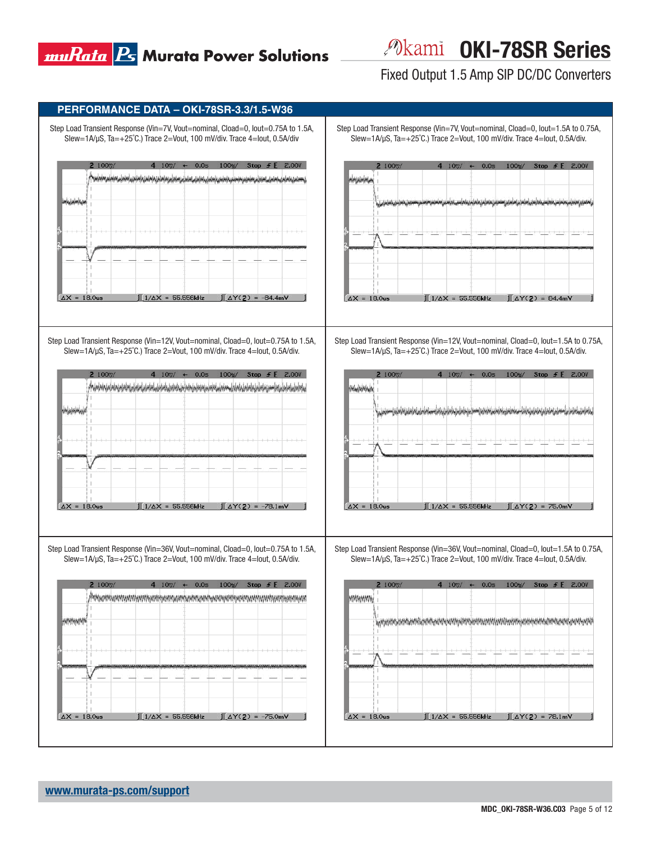*Pokami* OKI-78SR Series

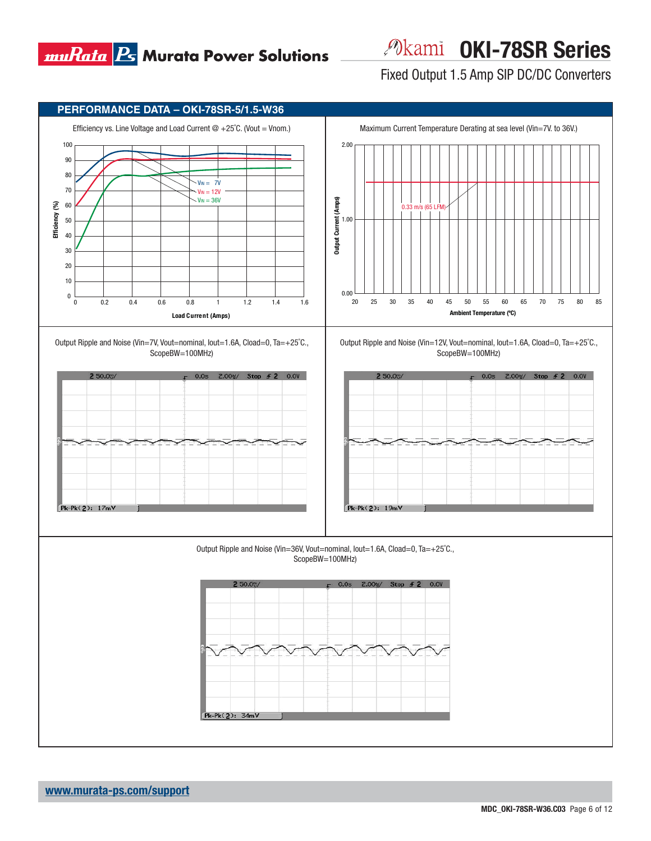

*Pokami* OKI-78SR Series

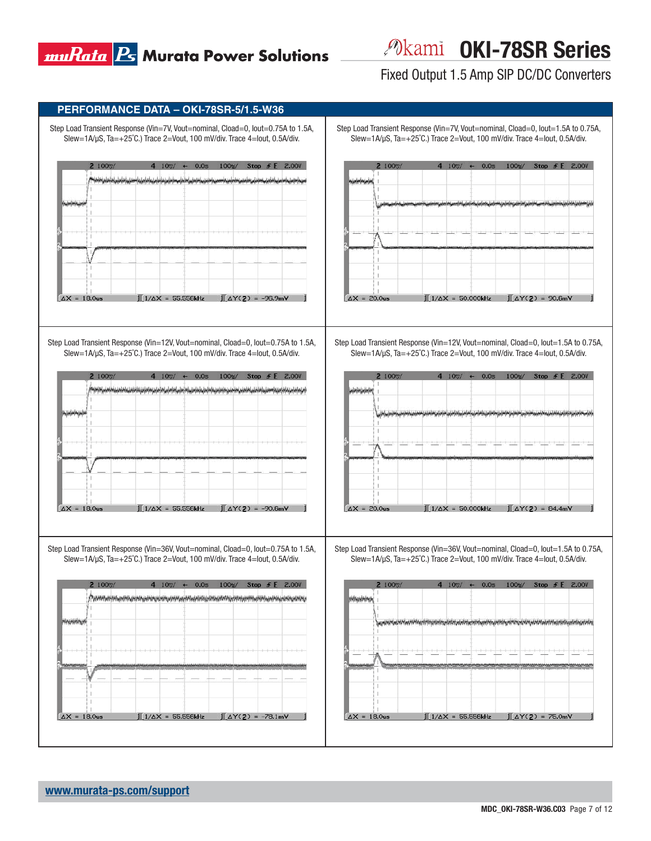*P***kami OKI-78SR Series** 

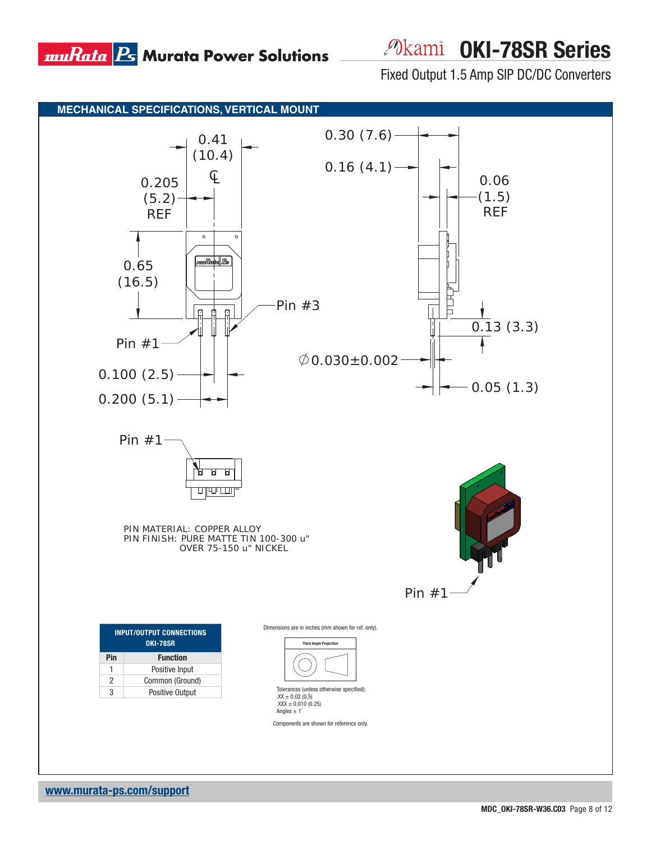*P***kami OKI-78SR Series** 

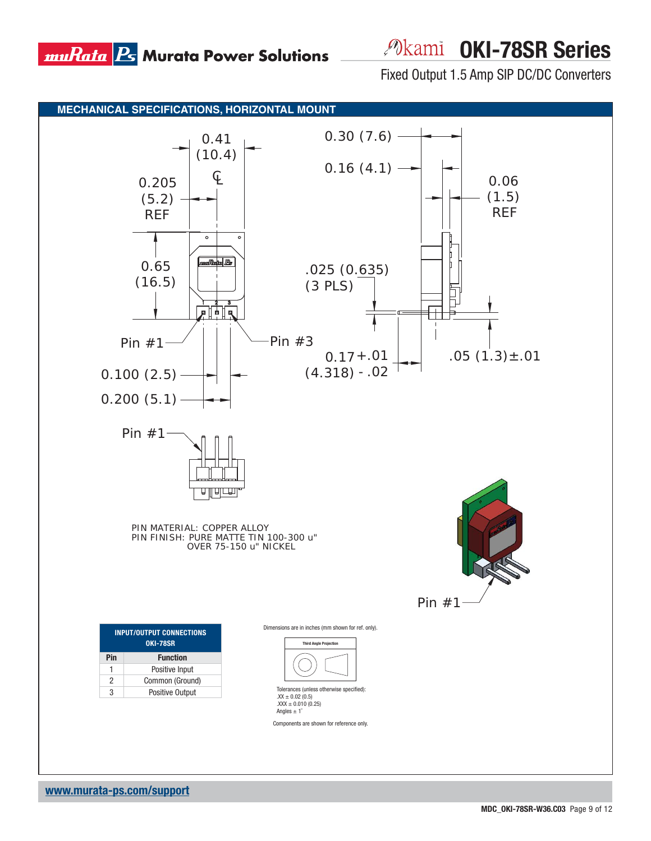

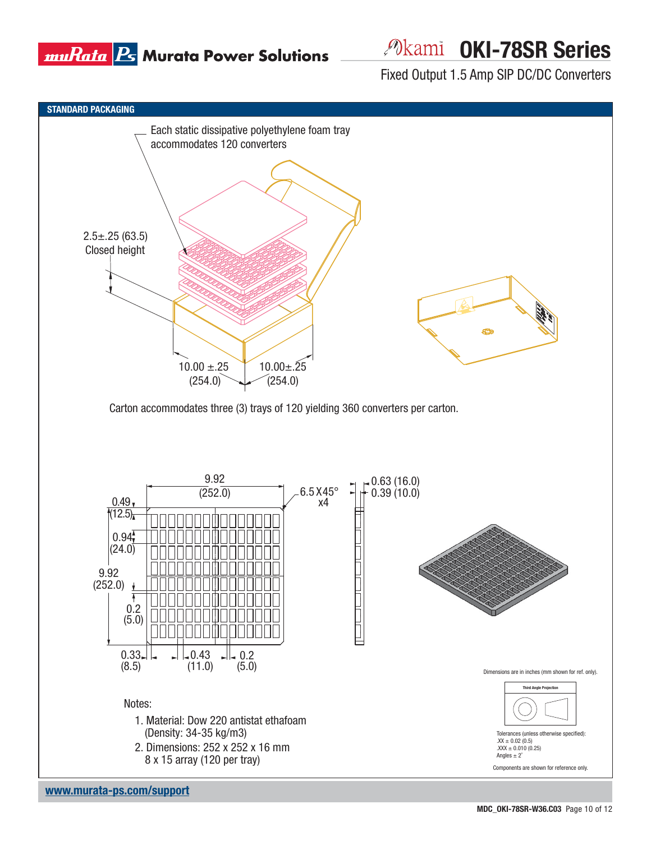

# *Pokami* OKI-78SR Series

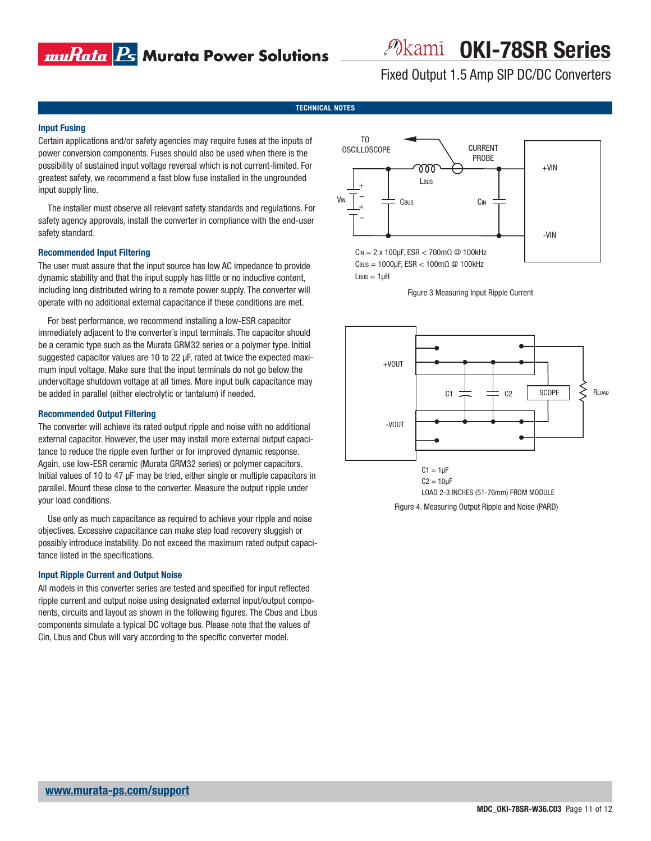## muRata <mark>Ps</mark> Murata Power Solutions

*P***kami OKI-78SR Series** 

Fixed Output 1.5 Amp SIP DC/DC Converters

#### **TECHNICAL NOTES**

#### **Input Fusing**

Certain applications and/or safety agencies may require fuses at the inputs of power conversion components. Fuses should also be used when there is the possibility of sustained input voltage reversal which is not current-limited. For greatest safety, we recommend a fast blow fuse installed in the ungrounded input supply line.

The installer must observe all relevant safety standards and regulations. For safety agency approvals, install the converter in compliance with the end-user safety standard.

#### **Recommended Input Filtering**

The user must assure that the input source has low AC impedance to provide dynamic stability and that the input supply has little or no inductive content, including long distributed wiring to a remote power supply. The converter will operate with no additional external capacitance if these conditions are met.

For best performance, we recommend installing a low-ESR capacitor immediately adjacent to the converter's input terminals. The capacitor should be a ceramic type such as the Murata GRM32 series or a polymer type. Initial suggested capacitor values are 10 to 22 μF, rated at twice the expected maximum input voltage. Make sure that the input terminals do not go below the undervoltage shutdown voltage at all times. More input bulk capacitance may be added in parallel (either electrolytic or tantalum) if needed.

#### **Recommended Output Filtering**

The converter will achieve its rated output ripple and noise with no additional external capacitor. However, the user may install more external output capacitance to reduce the ripple even further or for improved dynamic response. Again, use low-ESR ceramic (Murata GRM32 series) or polymer capacitors. Initial values of 10 to 47 μF may be tried, either single or multiple capacitors in parallel. Mount these close to the converter. Measure the output ripple under your load conditions.

Use only as much capacitance as required to achieve your ripple and noise objectives. Excessive capacitance can make step load recovery sluggish or possibly introduce instability. Do not exceed the maximum rated output capacitance listed in the specifications.

#### **Input Ripple Current and Output Noise**

All models in this converter series are tested and specified for input reflected ripple current and output noise using designated external input/output components, circuits and layout as shown in the following figures. The Cbus and Lbus components simulate a typical DC voltage bus. Please note that the values of Cin, Lbus and Cbus will vary according to the specific converter model.



Figure 3 Measuring Input Ripple Current



Figure 4. Measuring Output Ripple and Noise (PARD)